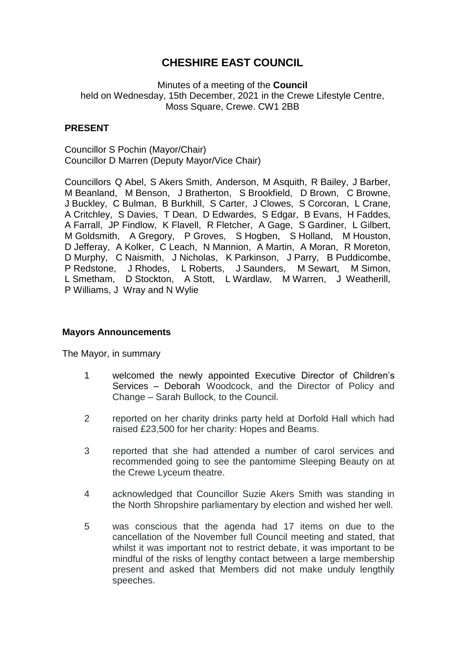# **CHESHIRE EAST COUNCIL**

Minutes of a meeting of the **Council** held on Wednesday, 15th December, 2021 in the Crewe Lifestyle Centre, Moss Square, Crewe. CW1 2BB

# **PRESENT**

Councillor S Pochin (Mayor/Chair) Councillor D Marren (Deputy Mayor/Vice Chair)

Councillors Q Abel, S Akers Smith, Anderson, M Asquith, R Bailey, J Barber, M Beanland, M Benson, J Bratherton, S Brookfield, D Brown, C Browne, J Buckley, C Bulman, B Burkhill, S Carter, J Clowes, S Corcoran, L Crane, A Critchley, S Davies, T Dean, D Edwardes, S Edgar, B Evans, H Faddes, A Farrall, JP Findlow, K Flavell, R Fletcher, A Gage, S Gardiner, L Gilbert, M Goldsmith, A Gregory, P Groves, S Hogben, S Holland, M Houston, D Jefferay, A Kolker, C Leach, N Mannion, A Martin, A Moran, R Moreton, D Murphy, C Naismith, J Nicholas, K Parkinson, J Parry, B Puddicombe, P Redstone, J Rhodes, L Roberts, J Saunders, M Sewart, M Simon, L Smetham, D Stockton, A Stott, L Wardlaw, M Warren, J Weatherill, P Williams, J Wray and N Wylie

# **Mayors Announcements**

The Mayor, in summary

- 1 welcomed the newly appointed Executive Director of Children's Services – Deborah Woodcock, and the Director of Policy and Change – Sarah Bullock, to the Council.
- 2 reported on her charity drinks party held at Dorfold Hall which had raised £23,500 for her charity: Hopes and Beams.
- 3 reported that she had attended a number of carol services and recommended going to see the pantomime Sleeping Beauty on at the Crewe Lyceum theatre.
- 4 acknowledged that Councillor Suzie Akers Smith was standing in the North Shropshire parliamentary by election and wished her well.
- 5 was conscious that the agenda had 17 items on due to the cancellation of the November full Council meeting and stated, that whilst it was important not to restrict debate, it was important to be mindful of the risks of lengthy contact between a large membership present and asked that Members did not make unduly lengthily speeches.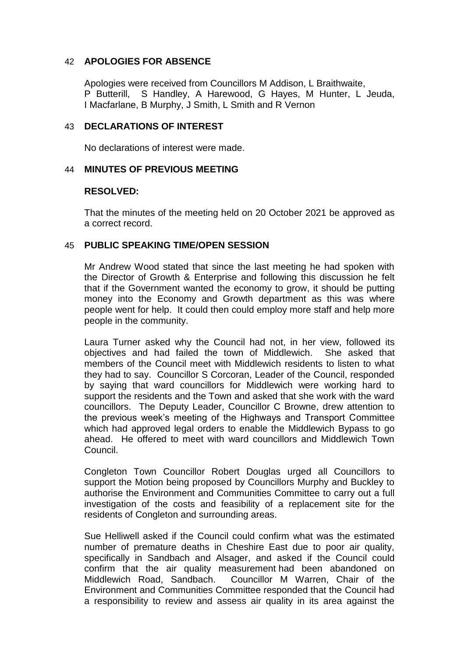### 42 **APOLOGIES FOR ABSENCE**

Apologies were received from Councillors M Addison, L Braithwaite, P Butterill, S Handley, A Harewood, G Hayes, M Hunter, L Jeuda, I Macfarlane, B Murphy, J Smith, L Smith and R Vernon

#### 43 **DECLARATIONS OF INTEREST**

No declarations of interest were made.

# 44 **MINUTES OF PREVIOUS MEETING**

#### **RESOLVED:**

That the minutes of the meeting held on 20 October 2021 be approved as a correct record.

#### 45 **PUBLIC SPEAKING TIME/OPEN SESSION**

Mr Andrew Wood stated that since the last meeting he had spoken with the Director of Growth & Enterprise and following this discussion he felt that if the Government wanted the economy to grow, it should be putting money into the Economy and Growth department as this was where people went for help. It could then could employ more staff and help more people in the community.

Laura Turner asked why the Council had not, in her view, followed its objectives and had failed the town of Middlewich. She asked that members of the Council meet with Middlewich residents to listen to what they had to say. Councillor S Corcoran, Leader of the Council, responded by saying that ward councillors for Middlewich were working hard to support the residents and the Town and asked that she work with the ward councillors. The Deputy Leader, Councillor C Browne, drew attention to the previous week's meeting of the Highways and Transport Committee which had approved legal orders to enable the Middlewich Bypass to go ahead. He offered to meet with ward councillors and Middlewich Town Council.

Congleton Town Councillor Robert Douglas urged all Councillors to support the Motion being proposed by Councillors Murphy and Buckley to authorise the Environment and Communities Committee to carry out a full investigation of the costs and feasibility of a replacement site for the residents of Congleton and surrounding areas.

Sue Helliwell asked if the Council could confirm what was the estimated number of premature deaths in Cheshire East due to poor air quality, specifically in Sandbach and Alsager, and asked if the Council could confirm that the air quality measurement had been abandoned on<br>Middlewich Road, Sandbach, Councillor M Warren, Chair of the Councillor M Warren, Chair of the Environment and Communities Committee responded that the Council had a responsibility to review and assess air quality in its area against the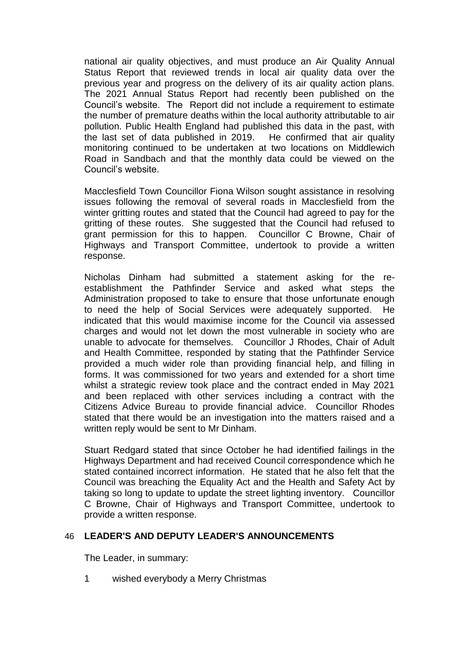national air quality objectives, and must produce an Air Quality Annual Status Report that reviewed trends in local air quality data over the previous year and progress on the delivery of its air quality action plans. The 2021 Annual Status Report had recently been published on the Council's website. The Report did not include a requirement to estimate the number of premature deaths within the local authority attributable to air pollution. Public Health England had published this data in the past, with the last set of data published in 2019. He confirmed that air quality monitoring continued to be undertaken at two locations on Middlewich Road in Sandbach and that the monthly data could be viewed on the Council's website.

Macclesfield Town Councillor Fiona Wilson sought assistance in resolving issues following the removal of several roads in Macclesfield from the winter gritting routes and stated that the Council had agreed to pay for the gritting of these routes. She suggested that the Council had refused to grant permission for this to happen. Councillor C Browne, Chair of Highways and Transport Committee, undertook to provide a written response.

Nicholas Dinham had submitted a statement asking for the reestablishment the Pathfinder Service and asked what steps the Administration proposed to take to ensure that those unfortunate enough to need the help of Social Services were adequately supported. He indicated that this would maximise income for the Council via assessed charges and would not let down the most vulnerable in society who are unable to advocate for themselves. Councillor J Rhodes, Chair of Adult and Health Committee, responded by stating that the Pathfinder Service provided a much wider role than providing financial help, and filling in forms. It was commissioned for two years and extended for a short time whilst a strategic review took place and the contract ended in May 2021 and been replaced with other services including a contract with the Citizens Advice Bureau to provide financial advice. Councillor Rhodes stated that there would be an investigation into the matters raised and a written reply would be sent to Mr Dinham.

Stuart Redgard stated that since October he had identified failings in the Highways Department and had received Council correspondence which he stated contained incorrect information. He stated that he also felt that the Council was breaching the Equality Act and the Health and Safety Act by taking so long to update to update the street lighting inventory. Councillor C Browne, Chair of Highways and Transport Committee, undertook to provide a written response.

# 46 **LEADER'S AND DEPUTY LEADER'S ANNOUNCEMENTS**

The Leader, in summary:

1 wished everybody a Merry Christmas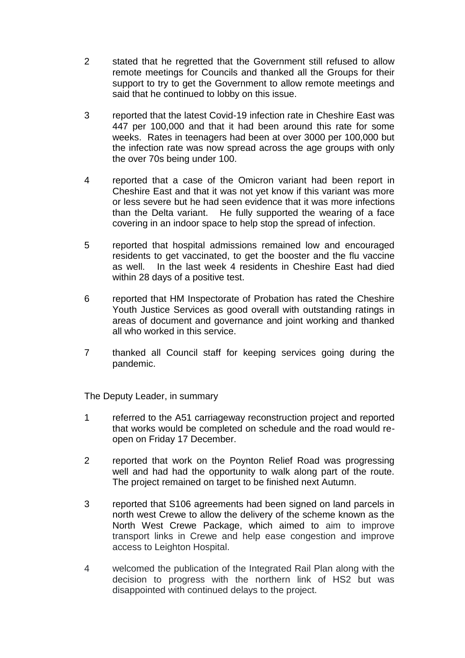- 2 stated that he regretted that the Government still refused to allow remote meetings for Councils and thanked all the Groups for their support to try to get the Government to allow remote meetings and said that he continued to lobby on this issue.
- 3 reported that the latest Covid-19 infection rate in Cheshire East was 447 per 100,000 and that it had been around this rate for some weeks. Rates in teenagers had been at over 3000 per 100,000 but the infection rate was now spread across the age groups with only the over 70s being under 100.
- 4 reported that a case of the Omicron variant had been report in Cheshire East and that it was not yet know if this variant was more or less severe but he had seen evidence that it was more infections than the Delta variant. He fully supported the wearing of a face covering in an indoor space to help stop the spread of infection.
- 5 reported that hospital admissions remained low and encouraged residents to get vaccinated, to get the booster and the flu vaccine as well. In the last week 4 residents in Cheshire East had died within 28 days of a positive test.
- 6 reported that HM Inspectorate of Probation has rated the Cheshire Youth Justice Services as good overall with outstanding ratings in areas of document and governance and joint working and thanked all who worked in this service.
- 7 thanked all Council staff for keeping services going during the pandemic.

The Deputy Leader, in summary

- 1 referred to the A51 carriageway reconstruction project and reported that works would be completed on schedule and the road would reopen on Friday 17 December.
- 2 reported that work on the Poynton Relief Road was progressing well and had had the opportunity to walk along part of the route. The project remained on target to be finished next Autumn.
- 3 reported that S106 agreements had been signed on land parcels in north west Crewe to allow the delivery of the scheme known as the North West Crewe Package, which aimed to aim to improve transport links in Crewe and help ease congestion and improve access to Leighton Hospital.
- 4 welcomed the publication of the Integrated Rail Plan along with the decision to progress with the northern link of HS2 but was disappointed with continued delays to the project.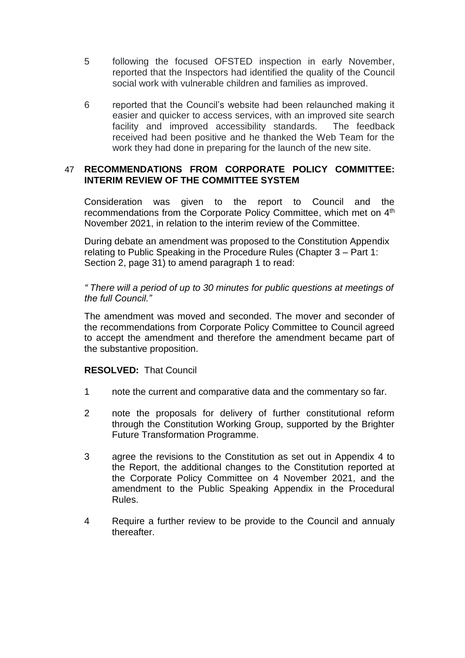- 5 following the focused OFSTED inspection in early November, reported that the Inspectors had identified the quality of the Council social work with vulnerable children and families as improved.
- 6 reported that the Council's website had been relaunched making it easier and quicker to access services, with an improved site search facility and improved accessibility standards. The feedback received had been positive and he thanked the Web Team for the work they had done in preparing for the launch of the new site.

# 47 **RECOMMENDATIONS FROM CORPORATE POLICY COMMITTEE: INTERIM REVIEW OF THE COMMITTEE SYSTEM**

Consideration was given to the report to Council and the recommendations from the Corporate Policy Committee, which met on 4<sup>th</sup> November 2021, in relation to the interim review of the Committee.

During debate an amendment was proposed to the Constitution Appendix relating to Public Speaking in the Procedure Rules (Chapter 3 – Part 1: Section 2, page 31) to amend paragraph 1 to read:

*" There will a period of up to 30 minutes for public questions at meetings of the full Council."* 

The amendment was moved and seconded. The mover and seconder of the recommendations from Corporate Policy Committee to Council agreed to accept the amendment and therefore the amendment became part of the substantive proposition.

# **RESOLVED:** That Council

- 1 note the current and comparative data and the commentary so far.
- 2 note the proposals for delivery of further constitutional reform through the Constitution Working Group, supported by the Brighter Future Transformation Programme.
- 3 agree the revisions to the Constitution as set out in Appendix 4 to the Report, the additional changes to the Constitution reported at the Corporate Policy Committee on 4 November 2021, and the amendment to the Public Speaking Appendix in the Procedural Rules.
- 4 Require a further review to be provide to the Council and annualy thereafter.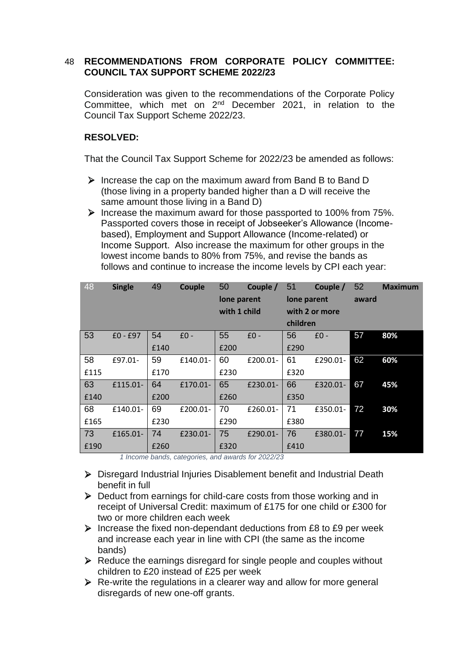# 48 **RECOMMENDATIONS FROM CORPORATE POLICY COMMITTEE: COUNCIL TAX SUPPORT SCHEME 2022/23**

Consideration was given to the recommendations of the Corporate Policy Committee, which met on 2nd December 2021, in relation to the Council Tax Support Scheme 2022/23.

# **RESOLVED:**

That the Council Tax Support Scheme for 2022/23 be amended as follows:

- $\triangleright$  Increase the cap on the maximum award from Band B to Band D (those living in a property banded higher than a D will receive the same amount those living in a Band D)
- $\triangleright$  Increase the maximum award for those passported to 100% from 75%. Passported covers those in receipt of Jobseeker's Allowance (Incomebased), Employment and Support Allowance (Income-related) or Income Support. Also increase the maximum for other groups in the lowest income bands to 80% from 75%, and revise the bands as follows and continue to increase the income levels by CPI each year:

| 48   | <b>Single</b> | 49   | Couple   | 50           | Couple / | 51             | Couple / | 52    | <b>Maximum</b> |
|------|---------------|------|----------|--------------|----------|----------------|----------|-------|----------------|
|      |               |      |          | lone parent  |          | lone parent    |          | award |                |
|      |               |      |          | with 1 child |          | with 2 or more |          |       |                |
|      |               |      |          |              |          | children       |          |       |                |
| 53   | $£0 - £97$    | 54   | $£0 -$   | 55           | $£0 -$   | 56             | $£0 -$   | 57    | 80%            |
|      |               | £140 |          | £200         |          | £290           |          |       |                |
| 58   | £97.01-       | 59   | £140.01- | 60           | £200.01- | 61             | £290.01- | 62    | 60%            |
| £115 |               | £170 |          | £230         |          | £320           |          |       |                |
| 63   | £115.01-      | 64   | £170.01- | 65           | £230.01- | 66             | £320.01- | 67    | 45%            |
| £140 |               | £200 |          | £260         |          | £350           |          |       |                |
| 68   | £140.01-      | 69   | £200.01- | 70           | £260.01- | 71             | £350.01- | 72    | 30%            |
| £165 |               | £230 |          | £290         |          | £380           |          |       |                |
| 73   | £165.01-      | 74   | £230.01- | 75           | £290.01- | 76             | £380.01- | 77    | 15%            |
| £190 |               | £260 |          | £320         |          | £410           |          |       |                |

*1 Income bands, categories, and awards for 2022/23*

- ▶ Disregard Industrial Injuries Disablement benefit and Industrial Death benefit in full
- ▶ Deduct from earnings for child-care costs from those working and in receipt of Universal Credit: maximum of £175 for one child or £300 for two or more children each week
- $\triangleright$  Increase the fixed non-dependant deductions from £8 to £9 per week and increase each year in line with CPI (the same as the income bands)
- $\triangleright$  Reduce the earnings disregard for single people and couples without children to £20 instead of £25 per week
- $\triangleright$  Re-write the regulations in a clearer way and allow for more general disregards of new one-off grants.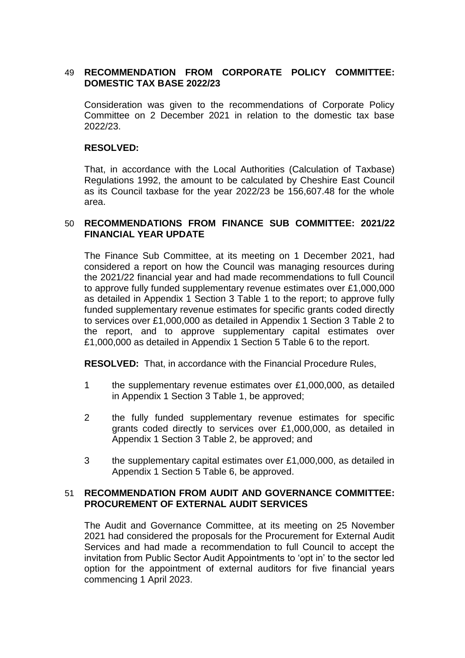# 49 **RECOMMENDATION FROM CORPORATE POLICY COMMITTEE: DOMESTIC TAX BASE 2022/23**

Consideration was given to the recommendations of Corporate Policy Committee on 2 December 2021 in relation to the domestic tax base 2022/23.

#### **RESOLVED:**

That, in accordance with the Local Authorities (Calculation of Taxbase) Regulations 1992, the amount to be calculated by Cheshire East Council as its Council taxbase for the year 2022/23 be 156,607.48 for the whole area.

#### 50 **RECOMMENDATIONS FROM FINANCE SUB COMMITTEE: 2021/22 FINANCIAL YEAR UPDATE**

The Finance Sub Committee, at its meeting on 1 December 2021, had considered a report on how the Council was managing resources during the 2021/22 financial year and had made recommendations to full Council to approve fully funded supplementary revenue estimates over £1,000,000 as detailed in Appendix 1 Section 3 Table 1 to the report; to approve fully funded supplementary revenue estimates for specific grants coded directly to services over £1,000,000 as detailed in Appendix 1 Section 3 Table 2 to the report, and to approve supplementary capital estimates over £1,000,000 as detailed in Appendix 1 Section 5 Table 6 to the report.

**RESOLVED:** That, in accordance with the Financial Procedure Rules,

- 1 the supplementary revenue estimates over £1,000,000, as detailed in Appendix 1 Section 3 Table 1, be approved;
- 2 the fully funded supplementary revenue estimates for specific grants coded directly to services over £1,000,000, as detailed in Appendix 1 Section 3 Table 2, be approved; and
- 3 the supplementary capital estimates over £1,000,000, as detailed in Appendix 1 Section 5 Table 6, be approved.

# 51 **RECOMMENDATION FROM AUDIT AND GOVERNANCE COMMITTEE: PROCUREMENT OF EXTERNAL AUDIT SERVICES**

The Audit and Governance Committee, at its meeting on 25 November 2021 had considered the proposals for the Procurement for External Audit Services and had made a recommendation to full Council to accept the invitation from Public Sector Audit Appointments to 'opt in' to the sector led option for the appointment of external auditors for five financial years commencing 1 April 2023.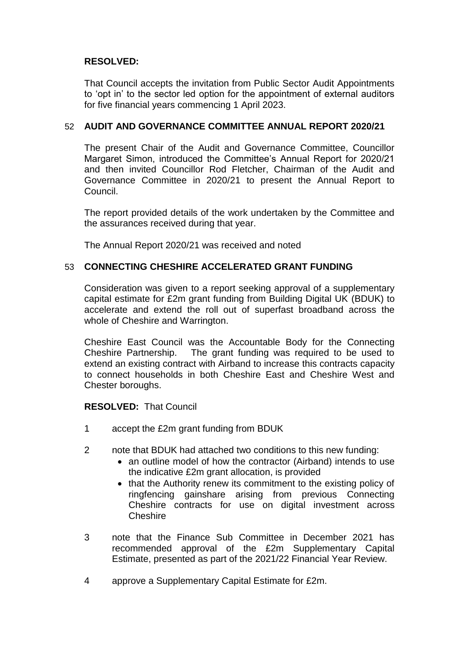# **RESOLVED:**

That Council accepts the invitation from Public Sector Audit Appointments to 'opt in' to the sector led option for the appointment of external auditors for five financial years commencing 1 April 2023.

# 52 **AUDIT AND GOVERNANCE COMMITTEE ANNUAL REPORT 2020/21**

The present Chair of the Audit and Governance Committee, Councillor Margaret Simon, introduced the Committee's Annual Report for 2020/21 and then invited Councillor Rod Fletcher, Chairman of the Audit and Governance Committee in 2020/21 to present the Annual Report to Council.

The report provided details of the work undertaken by the Committee and the assurances received during that year.

The Annual Report 2020/21 was received and noted

#### 53 **CONNECTING CHESHIRE ACCELERATED GRANT FUNDING**

Consideration was given to a report seeking approval of a supplementary capital estimate for £2m grant funding from Building Digital UK (BDUK) to accelerate and extend the roll out of superfast broadband across the whole of Cheshire and Warrington.

Cheshire East Council was the Accountable Body for the Connecting Cheshire Partnership. The grant funding was required to be used to extend an existing contract with Airband to increase this contracts capacity to connect households in both Cheshire East and Cheshire West and Chester boroughs.

#### **RESOLVED:** That Council

- 1 accept the £2m grant funding from BDUK
- 2 note that BDUK had attached two conditions to this new funding:
	- an outline model of how the contractor (Airband) intends to use the indicative £2m grant allocation, is provided
	- that the Authority renew its commitment to the existing policy of ringfencing gainshare arising from previous Connecting Cheshire contracts for use on digital investment across Cheshire
- 3 note that the Finance Sub Committee in December 2021 has recommended approval of the £2m Supplementary Capital Estimate, presented as part of the 2021/22 Financial Year Review.
- 4 approve a Supplementary Capital Estimate for £2m.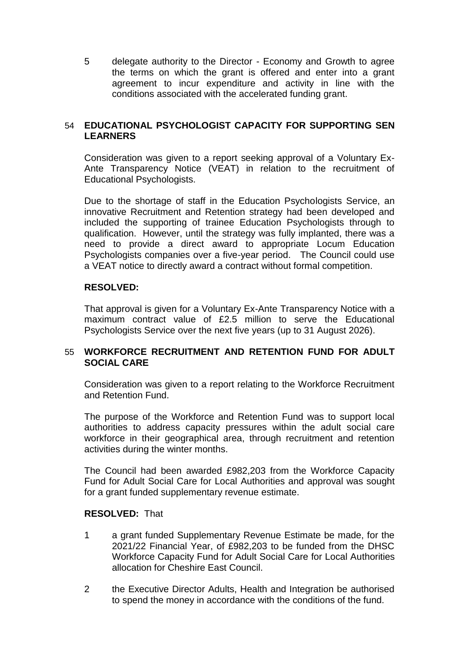5 delegate authority to the Director - Economy and Growth to agree the terms on which the grant is offered and enter into a grant agreement to incur expenditure and activity in line with the conditions associated with the accelerated funding grant.

# 54 **EDUCATIONAL PSYCHOLOGIST CAPACITY FOR SUPPORTING SEN LEARNERS**

Consideration was given to a report seeking approval of a Voluntary Ex-Ante Transparency Notice (VEAT) in relation to the recruitment of Educational Psychologists.

Due to the shortage of staff in the Education Psychologists Service, an innovative Recruitment and Retention strategy had been developed and included the supporting of trainee Education Psychologists through to qualification. However, until the strategy was fully implanted, there was a need to provide a direct award to appropriate Locum Education Psychologists companies over a five-year period. The Council could use a VEAT notice to directly award a contract without formal competition.

#### **RESOLVED:**

That approval is given for a Voluntary Ex-Ante Transparency Notice with a maximum contract value of £2.5 million to serve the Educational Psychologists Service over the next five years (up to 31 August 2026).

# 55 **WORKFORCE RECRUITMENT AND RETENTION FUND FOR ADULT SOCIAL CARE**

Consideration was given to a report relating to the Workforce Recruitment and Retention Fund.

The purpose of the Workforce and Retention Fund was to support local authorities to address capacity pressures within the adult social care workforce in their geographical area, through recruitment and retention activities during the winter months.

The Council had been awarded £982,203 from the Workforce Capacity Fund for Adult Social Care for Local Authorities and approval was sought for a grant funded supplementary revenue estimate.

#### **RESOLVED:** That

- 1 a grant funded Supplementary Revenue Estimate be made, for the 2021/22 Financial Year, of £982,203 to be funded from the DHSC Workforce Capacity Fund for Adult Social Care for Local Authorities allocation for Cheshire East Council.
- 2 the Executive Director Adults, Health and Integration be authorised to spend the money in accordance with the conditions of the fund.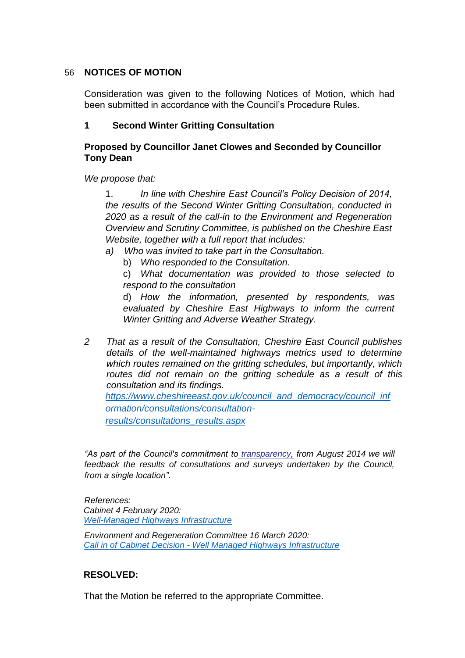# 56 **NOTICES OF MOTION**

Consideration was given to the following Notices of Motion, which had been submitted in accordance with the Council's Procedure Rules.

# **1 Second Winter Gritting Consultation**

# **Proposed by Councillor Janet Clowes and Seconded by Councillor Tony Dean**

*We propose that:* 

1. *In line with Cheshire East Council's Policy Decision of 2014, the results of the Second Winter Gritting Consultation, conducted in 2020 as a result of the call-in to the Environment and Regeneration Overview and Scrutiny Committee, is published on the Cheshire East Website, together with a full report that includes:*

- *a) Who was invited to take part in the Consultation.* 
	- b) *Who responded to the Consultation.*

c) *What documentation was provided to those selected to respond to the consultation* 

d) *How the information, presented by respondents, was evaluated by Cheshire East Highways to inform the current Winter Gritting and Adverse Weather Strategy.* 

*2 That as a result of the Consultation, Cheshire East Council publishes details of the well-maintained highways metrics used to determine which routes remained on the gritting schedules, but importantly, which routes did not remain on the gritting schedule as a result of this consultation and its findings. [https://www.cheshireeast.gov.uk/council\\_and\\_democracy/council\\_inf](https://www.cheshireeast.gov.uk/council_and_democracy/council_information/consultations/consultation-results/consultations_results.aspx)*

*[ormation/consultations/consultation](https://www.cheshireeast.gov.uk/council_and_democracy/council_information/consultations/consultation-results/consultations_results.aspx)[results/consultations\\_results.aspx](https://www.cheshireeast.gov.uk/council_and_democracy/council_information/consultations/consultation-results/consultations_results.aspx)*

*"As part of the Council's commitment t[o](http://www.cheshireeast.gov.uk/council_and_democracy/council_information/open-data-and-transparency/open-data-and-transparency.aspx) [transparency,](http://www.cheshireeast.gov.uk/council_and_democracy/council_information/open-data-and-transparency/open-data-and-transparency.aspx) from August 2014 we will feedback the results of consultations and surveys undertaken by the Council, from a single location".* 

*References: Cabinet 4 February 2020: [Well-Managed Highways Infrastructure](https://moderngov.cheshireeast.gov.uk/ecminutes/ieListDocuments.aspx?CId=241&MID=7464#AI49407)*

*Environment and Regeneration Committee 16 March 2020: Call in of Cabinet Decision - [Well Managed Highways Infrastructure](http://moderngov.cheshireeast.gov.uk/ecminutes/ieListDocuments.aspx?CId=870&MID=7572#AI49793)*

# **RESOLVED:**

That the Motion be referred to the appropriate Committee.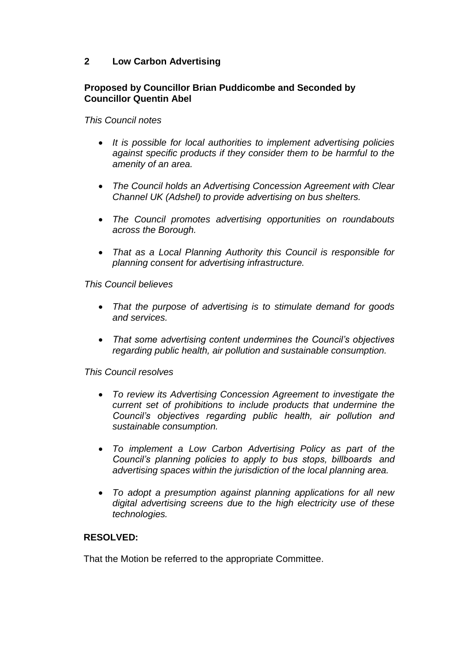# **2 Low Carbon Advertising**

# **Proposed by Councillor Brian Puddicombe and Seconded by Councillor Quentin Abel**

*This Council notes*

- *It is possible for local authorities to implement advertising policies against specific products if they consider them to be harmful to the amenity of an area.*
- *The Council holds an Advertising Concession Agreement with Clear Channel UK (Adshel) to provide advertising on bus shelters.*
- *The Council promotes advertising opportunities on roundabouts across the Borough.*
- *That as a Local Planning Authority this Council is responsible for planning consent for advertising infrastructure.*

*This Council believes*

- *That the purpose of advertising is to stimulate demand for goods and services.*
- *That some advertising content undermines the Council's objectives regarding public health, air pollution and sustainable consumption.*

*This Council resolves*

- *To review its Advertising Concession Agreement to investigate the current set of prohibitions to include products that undermine the Council's objectives regarding public health, air pollution and sustainable consumption.*
- *To implement a Low Carbon Advertising Policy as part of the Council's planning policies to apply to bus stops, billboards and advertising spaces within the jurisdiction of the local planning area.*
- *To adopt a presumption against planning applications for all new digital advertising screens due to the high electricity use of these technologies.*

# **RESOLVED:**

That the Motion be referred to the appropriate Committee.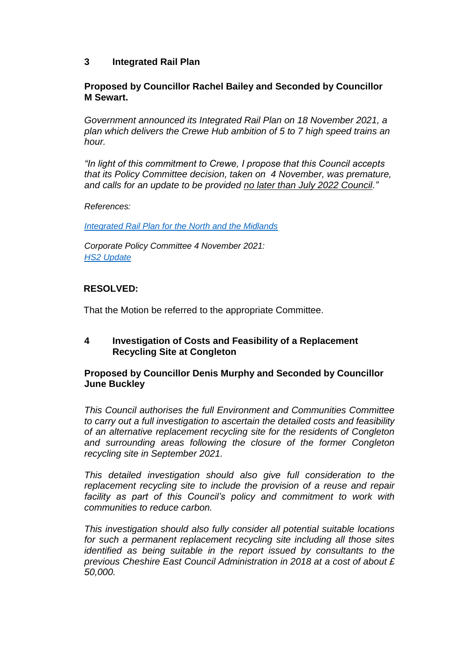# **3 Integrated Rail Plan**

# **Proposed by Councillor Rachel Bailey and Seconded by Councillor M Sewart.**

*Government announced its Integrated Rail Plan on 18 November 2021, a plan which delivers the Crewe Hub ambition of 5 to 7 high speed trains an hour.*

*"In light of this commitment to Crewe, I propose that this Council accepts that its Policy Committee decision, taken on 4 November, was premature, and calls for an update to be provided no later than July 2022 Council."*

*References:*

*[Integrated Rail Plan for the North and the](https://www.gov.uk/government/publications/integrated-rail-plan-for-the-north-and-the-midlands) Midlands*

*Corporate Policy Committee 4 November 2021: [HS2 Update](http://moderngov.cheshireeast.gov.uk/ecminutes/ieListDocuments.aspx?CId=959&MID=8661#AI58403)*

# **RESOLVED:**

That the Motion be referred to the appropriate Committee.

# **4 Investigation of Costs and Feasibility of a Replacement Recycling Site at Congleton**

# **Proposed by Councillor Denis Murphy and Seconded by Councillor June Buckley**

*This Council authorises the full Environment and Communities Committee to carry out a full investigation to ascertain the detailed costs and feasibility of an alternative replacement recycling site for the residents of Congleton and surrounding areas following the closure of the former Congleton recycling site in September 2021.*

*This detailed investigation should also give full consideration to the replacement recycling site to include the provision of a reuse and repair facility as part of this Council's policy and commitment to work with communities to reduce carbon.*

*This investigation should also fully consider all potential suitable locations for such a permanent replacement recycling site including all those sites identified as being suitable in the report issued by consultants to the previous Cheshire East Council Administration in 2018 at a cost of about £ 50,000.*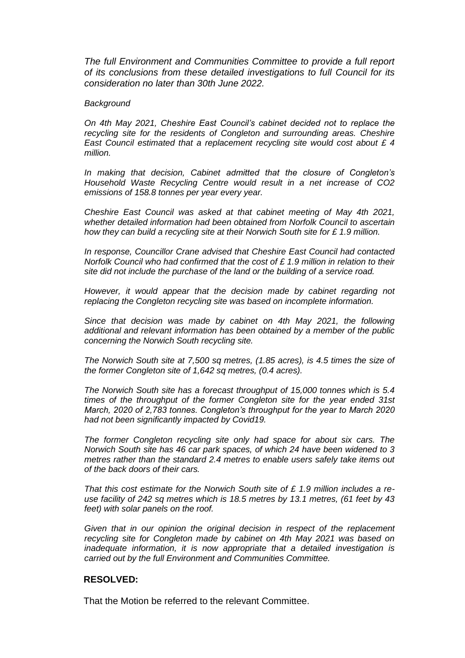*The full Environment and Communities Committee to provide a full report of its conclusions from these detailed investigations to full Council for its consideration no later than 30th June 2022.*

#### *Background*

*On 4th May 2021, Cheshire East Council's cabinet decided not to replace the recycling site for the residents of Congleton and surrounding areas. Cheshire East Council estimated that a replacement recycling site would cost about £ 4 million.*

*In making that decision, Cabinet admitted that the closure of Congleton's Household Waste Recycling Centre would result in a net increase of CO2 emissions of 158.8 tonnes per year every year.*

*Cheshire East Council was asked at that cabinet meeting of May 4th 2021, whether detailed information had been obtained from Norfolk Council to ascertain how they can build a recycling site at their Norwich South site for £ 1.9 million.*

*In response, Councillor Crane advised that Cheshire East Council had contacted Norfolk Council who had confirmed that the cost of £ 1.9 million in relation to their site did not include the purchase of the land or the building of a service road.*

*However, it would appear that the decision made by cabinet regarding not replacing the Congleton recycling site was based on incomplete information.*

*Since that decision was made by cabinet on 4th May 2021, the following additional and relevant information has been obtained by a member of the public concerning the Norwich South recycling site.*

*The Norwich South site at 7,500 sq metres, (1.85 acres), is 4.5 times the size of the former Congleton site of 1,642 sq metres, (0.4 acres).*

*The Norwich South site has a forecast throughput of 15,000 tonnes which is 5.4 times of the throughput of the former Congleton site for the year ended 31st March, 2020 of 2,783 tonnes. Congleton's throughput for the year to March 2020 had not been significantly impacted by Covid19.*

*The former Congleton recycling site only had space for about six cars. The Norwich South site has 46 car park spaces, of which 24 have been widened to 3 metres rather than the standard 2.4 metres to enable users safely take items out of the back doors of their cars.*

*That this cost estimate for the Norwich South site of £ 1.9 million includes a reuse facility of 242 sq metres which is 18.5 metres by 13.1 metres, (61 feet by 43 feet) with solar panels on the roof.*

Given that in our opinion the original decision in respect of the replacement *recycling site for Congleton made by cabinet on 4th May 2021 was based on inadequate information, it is now appropriate that a detailed investigation is carried out by the full Environment and Communities Committee.*

#### **RESOLVED:**

That the Motion be referred to the relevant Committee.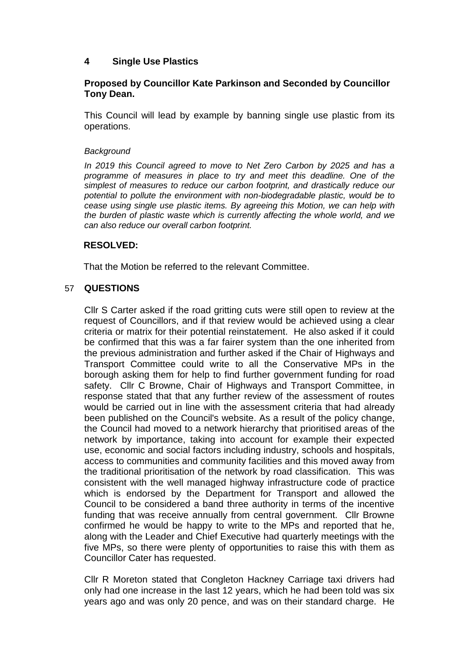# **4 Single Use Plastics**

# **Proposed by Councillor Kate Parkinson and Seconded by Councillor Tony Dean.**

This Council will lead by example by banning single use plastic from its operations.

#### *Background*

*In 2019 this Council agreed to move to Net Zero Carbon by 2025 and has a programme of measures in place to try and meet this deadline. One of the simplest of measures to reduce our carbon footprint, and drastically reduce our potential to pollute the environment with non-biodegradable plastic, would be to cease using single use plastic items. By agreeing this Motion, we can help with the burden of plastic waste which is currently affecting the whole world, and we can also reduce our overall carbon footprint.*

# **RESOLVED:**

That the Motion be referred to the relevant Committee.

# 57 **QUESTIONS**

Cllr S Carter asked if the road gritting cuts were still open to review at the request of Councillors, and if that review would be achieved using a clear criteria or matrix for their potential reinstatement. He also asked if it could be confirmed that this was a far fairer system than the one inherited from the previous administration and further asked if the Chair of Highways and Transport Committee could write to all the Conservative MPs in the borough asking them for help to find further government funding for road safety. Cllr C Browne, Chair of Highways and Transport Committee, in response stated that that any further review of the assessment of routes would be carried out in line with the assessment criteria that had already been published on the Council's website. As a result of the policy change, the Council had moved to a network hierarchy that prioritised areas of the network by importance, taking into account for example their expected use, economic and social factors including industry, schools and hospitals, access to communities and community facilities and this moved away from the traditional prioritisation of the network by road classification*.* This was consistent with the well managed highway infrastructure code of practice which is endorsed by the Department for Transport and allowed the Council to be considered a band three authority in terms of the incentive funding that was receive annually from central government. Cllr Browne confirmed he would be happy to write to the MPs and reported that he, along with the Leader and Chief Executive had quarterly meetings with the five MPs, so there were plenty of opportunities to raise this with them as Councillor Cater has requested.

Cllr R Moreton stated that Congleton Hackney Carriage taxi drivers had only had one increase in the last 12 years, which he had been told was six years ago and was only 20 pence, and was on their standard charge. He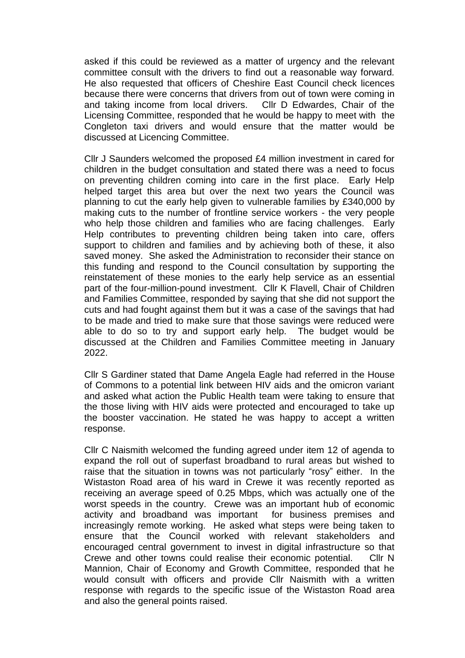asked if this could be reviewed as a matter of urgency and the relevant committee consult with the drivers to find out a reasonable way forward*.*  He also requested that officers of Cheshire East Council check licences because there were concerns that drivers from out of town were coming in and taking income from local drivers. Cllr D Edwardes, Chair of the Licensing Committee, responded that he would be happy to meet with the Congleton taxi drivers and would ensure that the matter would be discussed at Licencing Committee.

Cllr J Saunders welcomed the proposed £4 million investment in cared for children in the budget consultation and stated there was a need to focus on preventing children coming into care in the first place. Early Help helped target this area but over the next two years the Council was planning to cut the early help given to vulnerable families by £340,000 by making cuts to the number of frontline service workers - the very people who help those children and families who are facing challenges. Early Help contributes to preventing children being taken into care, offers support to children and families and by achieving both of these, it also saved money. She asked the Administration to reconsider their stance on this funding and respond to the Council consultation by supporting the reinstatement of these monies to the early help service as an essential part of the four-million-pound investment. Cllr K Flavell, Chair of Children and Families Committee, responded by saying that she did not support the cuts and had fought against them but it was a case of the savings that had to be made and tried to make sure that those savings were reduced were able to do so to try and support early help. The budget would be discussed at the Children and Families Committee meeting in January 2022.

Cllr S Gardiner stated that Dame Angela Eagle had referred in the House of Commons to a potential link between HIV aids and the omicron variant and asked what action the Public Health team were taking to ensure that the those living with HIV aids were protected and encouraged to take up the booster vaccination. He stated he was happy to accept a written response.

Cllr C Naismith welcomed the funding agreed under item 12 of agenda to expand the roll out of superfast broadband to rural areas but wished to raise that the situation in towns was not particularly "rosy" either. In the Wistaston Road area of his ward in Crewe it was recently reported as receiving an average speed of 0.25 Mbps, which was actually one of the worst speeds in the country. Crewe was an important hub of economic activity and broadband was important for business premises and increasingly remote working. He asked what steps were being taken to ensure that the Council worked with relevant stakeholders and encouraged central government to invest in digital infrastructure so that Crewe and other towns could realise their economic potential. Cllr N Mannion, Chair of Economy and Growth Committee, responded that he would consult with officers and provide Cllr Naismith with a written response with regards to the specific issue of the Wistaston Road area and also the general points raised.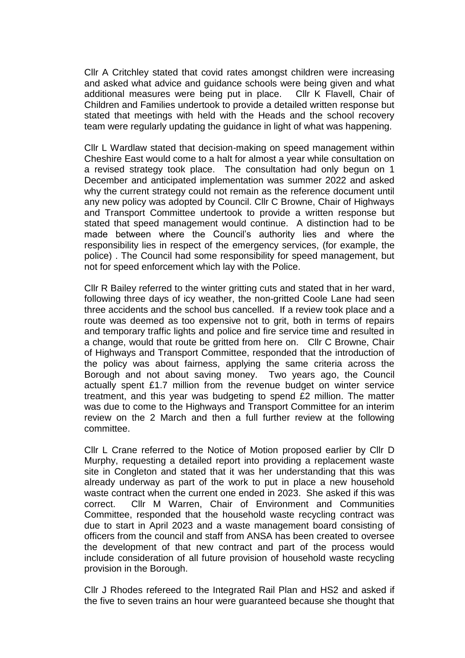Cllr A Critchley stated that covid rates amongst children were increasing and asked what advice and guidance schools were being given and what additional measures were being put in place. Cllr K Flavell, Chair of Children and Families undertook to provide a detailed written response but stated that meetings with held with the Heads and the school recovery team were regularly updating the guidance in light of what was happening.

Cllr L Wardlaw stated that decision-making on speed management within Cheshire East would come to a halt for almost a year while consultation on a revised strategy took place. The consultation had only begun on 1 December and anticipated implementation was summer 2022 and asked why the current strategy could not remain as the reference document until any new policy was adopted by Council. Cllr C Browne, Chair of Highways and Transport Committee undertook to provide a written response but stated that speed management would continue. A distinction had to be made between where the Council's authority lies and where the responsibility lies in respect of the emergency services, (for example, the police) . The Council had some responsibility for speed management, but not for speed enforcement which lay with the Police.

Cllr R Bailey referred to the winter gritting cuts and stated that in her ward, following three days of icy weather, the non-gritted Coole Lane had seen three accidents and the school bus cancelled. If a review took place and a route was deemed as too expensive not to grit, both in terms of repairs and temporary traffic lights and police and fire service time and resulted in a change, would that route be gritted from here on. Cllr C Browne, Chair of Highways and Transport Committee, responded that the introduction of the policy was about fairness, applying the same criteria across the Borough and not about saving money. Two years ago, the Council actually spent £1.7 million from the revenue budget on winter service treatment, and this year was budgeting to spend £2 million. The matter was due to come to the Highways and Transport Committee for an interim review on the 2 March and then a full further review at the following committee.

Cllr L Crane referred to the Notice of Motion proposed earlier by Cllr D Murphy, requesting a detailed report into providing a replacement waste site in Congleton and stated that it was her understanding that this was already underway as part of the work to put in place a new household waste contract when the current one ended in 2023. She asked if this was correct. Cllr M Warren, Chair of Environment and Communities Committee, responded that the household waste recycling contract was due to start in April 2023 and a waste management board consisting of officers from the council and staff from ANSA has been created to oversee the development of that new contract and part of the process would include consideration of all future provision of household waste recycling provision in the Borough.

Cllr J Rhodes refereed to the Integrated Rail Plan and HS2 and asked if the five to seven trains an hour were guaranteed because she thought that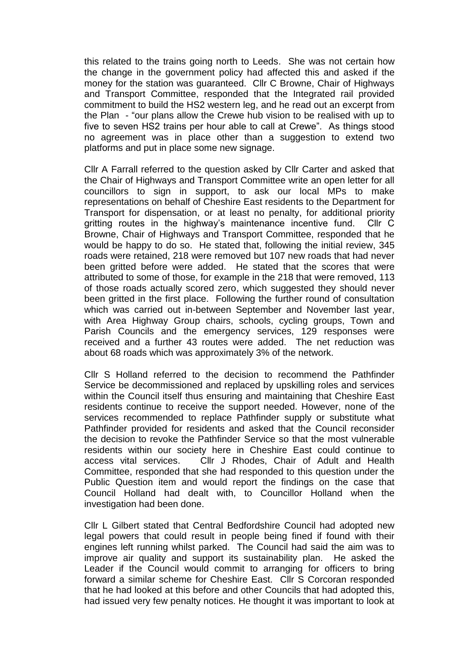this related to the trains going north to Leeds. She was not certain how the change in the government policy had affected this and asked if the money for the station was guaranteed. Cllr C Browne, Chair of Highways and Transport Committee, responded that the Integrated rail provided commitment to build the HS2 western leg, and he read out an excerpt from the Plan - "our plans allow the Crewe hub vision to be realised with up to five to seven HS2 trains per hour able to call at Crewe". As things stood no agreement was in place other than a suggestion to extend two platforms and put in place some new signage.

Cllr A Farrall referred to the question asked by Cllr Carter and asked that the Chair of Highways and Transport Committee write an open letter for all councillors to sign in support, to ask our local MPs to make representations on behalf of Cheshire East residents to the Department for Transport for dispensation, or at least no penalty, for additional priority gritting routes in the highway's maintenance incentive fund. Cllr C Browne, Chair of Highways and Transport Committee, responded that he would be happy to do so. He stated that, following the initial review, 345 roads were retained, 218 were removed but 107 new roads that had never been gritted before were added. He stated that the scores that were attributed to some of those, for example in the 218 that were removed, 113 of those roads actually scored zero, which suggested they should never been gritted in the first place. Following the further round of consultation which was carried out in-between September and November last year, with Area Highway Group chairs, schools, cycling groups, Town and Parish Councils and the emergency services, 129 responses were received and a further 43 routes were added. The net reduction was about 68 roads which was approximately 3% of the network.

Cllr S Holland referred to the decision to recommend the Pathfinder Service be decommissioned and replaced by upskilling roles and services within the Council itself thus ensuring and maintaining that Cheshire East residents continue to receive the support needed. However, none of the services recommended to replace Pathfinder supply or substitute what Pathfinder provided for residents and asked that the Council reconsider the decision to revoke the Pathfinder Service so that the most vulnerable residents within our society here in Cheshire East could continue to access vital services. Cllr J Rhodes, Chair of Adult and Health Committee, responded that she had responded to this question under the Public Question item and would report the findings on the case that Council Holland had dealt with, to Councillor Holland when the investigation had been done.

Cllr L Gilbert stated that Central Bedfordshire Council had adopted new legal powers that could result in people being fined if found with their engines left running whilst parked. The Council had said the aim was to improve air quality and support its sustainability plan. He asked the Leader if the Council would commit to arranging for officers to bring forward a similar scheme for Cheshire East. Cllr S Corcoran responded that he had looked at this before and other Councils that had adopted this, had issued very few penalty notices. He thought it was important to look at